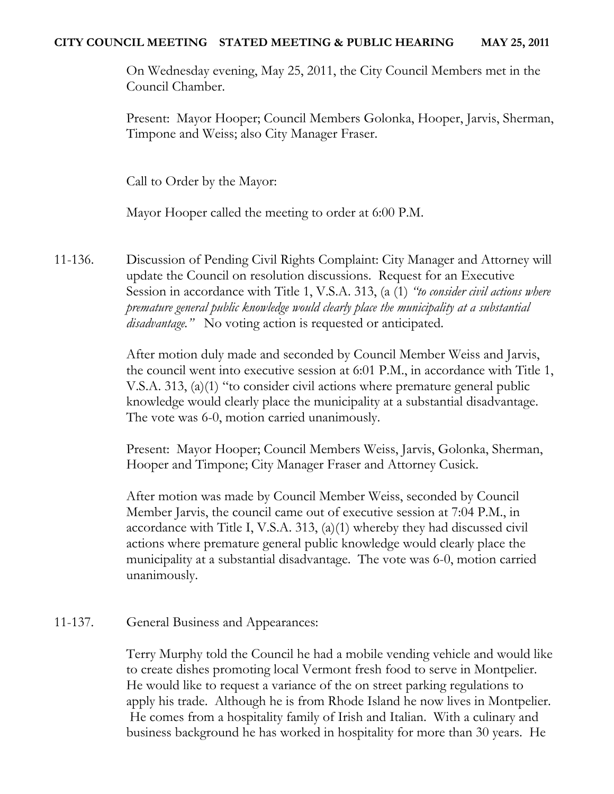### **CITY COUNCIL MEETING STATED MEETING & PUBLIC HEARING MAY 25, 2011**

On Wednesday evening, May 25, 2011, the City Council Members met in the Council Chamber.

Present: Mayor Hooper; Council Members Golonka, Hooper, Jarvis, Sherman, Timpone and Weiss; also City Manager Fraser.

Call to Order by the Mayor:

Mayor Hooper called the meeting to order at 6:00 P.M.

11-136. Discussion of Pending Civil Rights Complaint: City Manager and Attorney will update the Council on resolution discussions. Request for an Executive Session in accordance with Title 1, V.S.A. 313, (a (1) *"to consider civil actions where premature general public knowledge would clearly place the municipality at a substantial disadvantage."* No voting action is requested or anticipated.

> After motion duly made and seconded by Council Member Weiss and Jarvis, the council went into executive session at 6:01 P.M., in accordance with Title 1, V.S.A. 313, (a)(1) "to consider civil actions where premature general public knowledge would clearly place the municipality at a substantial disadvantage. The vote was 6-0, motion carried unanimously.

Present: Mayor Hooper; Council Members Weiss, Jarvis, Golonka, Sherman, Hooper and Timpone; City Manager Fraser and Attorney Cusick.

After motion was made by Council Member Weiss, seconded by Council Member Jarvis, the council came out of executive session at 7:04 P.M., in accordance with Title I, V.S.A. 313, (a)(1) whereby they had discussed civil actions where premature general public knowledge would clearly place the municipality at a substantial disadvantage. The vote was 6-0, motion carried unanimously.

# 11-137. General Business and Appearances:

Terry Murphy told the Council he had a mobile vending vehicle and would like to create dishes promoting local Vermont fresh food to serve in Montpelier. He would like to request a variance of the on street parking regulations to apply his trade. Although he is from Rhode Island he now lives in Montpelier. He comes from a hospitality family of Irish and Italian. With a culinary and business background he has worked in hospitality for more than 30 years. He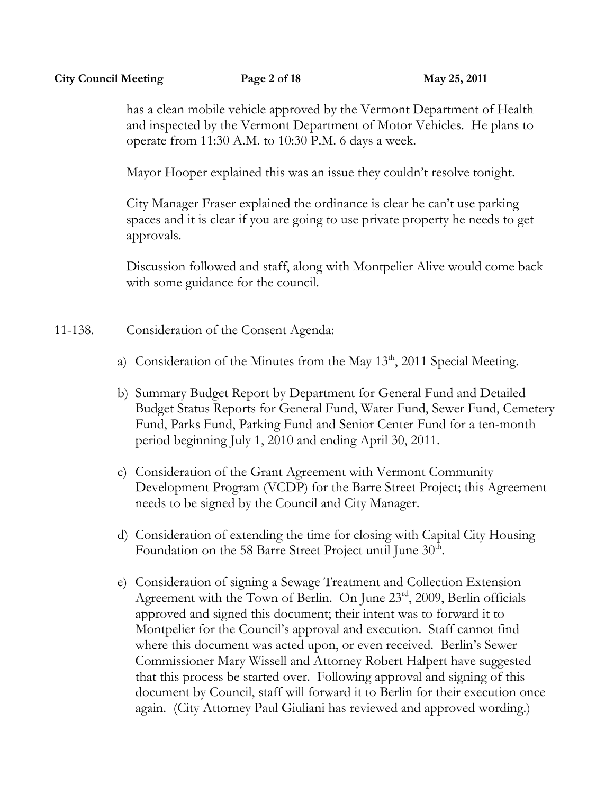has a clean mobile vehicle approved by the Vermont Department of Health and inspected by the Vermont Department of Motor Vehicles. He plans to operate from 11:30 A.M. to 10:30 P.M. 6 days a week.

Mayor Hooper explained this was an issue they couldn't resolve tonight.

City Manager Fraser explained the ordinance is clear he can't use parking spaces and it is clear if you are going to use private property he needs to get approvals.

Discussion followed and staff, along with Montpelier Alive would come back with some guidance for the council.

# 11-138. Consideration of the Consent Agenda:

- a) Consideration of the Minutes from the May  $13<sup>th</sup>$ , 2011 Special Meeting.
- b) Summary Budget Report by Department for General Fund and Detailed Budget Status Reports for General Fund, Water Fund, Sewer Fund, Cemetery Fund, Parks Fund, Parking Fund and Senior Center Fund for a ten-month period beginning July 1, 2010 and ending April 30, 2011.
- c) Consideration of the Grant Agreement with Vermont Community Development Program (VCDP) for the Barre Street Project; this Agreement needs to be signed by the Council and City Manager.
- d) Consideration of extending the time for closing with Capital City Housing Foundation on the 58 Barre Street Project until June 30<sup>th</sup>.
- e) Consideration of signing a Sewage Treatment and Collection Extension Agreement with the Town of Berlin. On June 23rd, 2009, Berlin officials approved and signed this document; their intent was to forward it to Montpelier for the Council's approval and execution. Staff cannot find where this document was acted upon, or even received. Berlin's Sewer Commissioner Mary Wissell and Attorney Robert Halpert have suggested that this process be started over. Following approval and signing of this document by Council, staff will forward it to Berlin for their execution once again. (City Attorney Paul Giuliani has reviewed and approved wording.)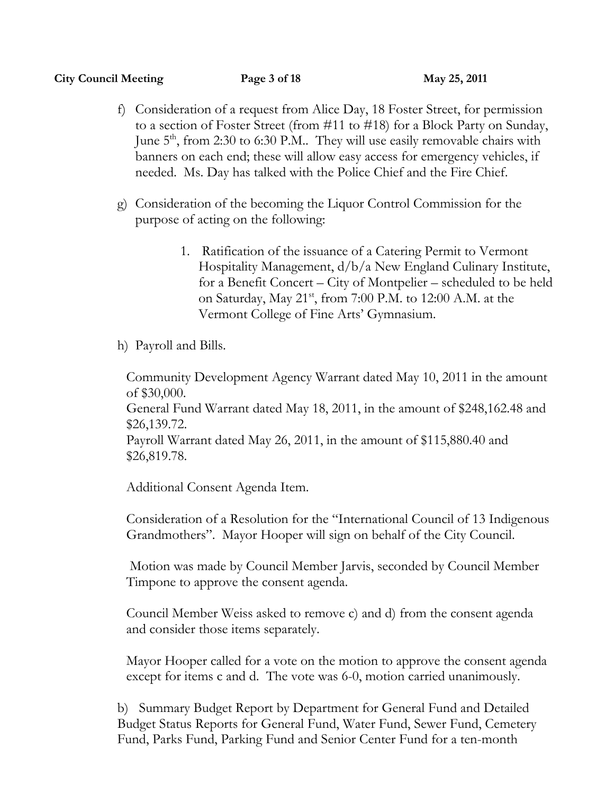### **City Council Meeting Page 3 of 18 May 25, 2011**

- f) Consideration of a request from Alice Day, 18 Foster Street, for permission to a section of Foster Street (from #11 to #18) for a Block Party on Sunday, June  $5<sup>th</sup>$ , from 2:30 to 6:30 P.M.. They will use easily removable chairs with banners on each end; these will allow easy access for emergency vehicles, if needed. Ms. Day has talked with the Police Chief and the Fire Chief.
- g) Consideration of the becoming the Liquor Control Commission for the purpose of acting on the following:
	- 1. Ratification of the issuance of a Catering Permit to Vermont Hospitality Management, d/b/a New England Culinary Institute, for a Benefit Concert – City of Montpelier – scheduled to be held on Saturday, May 21<sup>st</sup>, from 7:00 P.M. to 12:00 A.M. at the Vermont College of Fine Arts' Gymnasium.
- h) Payroll and Bills.

Community Development Agency Warrant dated May 10, 2011 in the amount of \$30,000. General Fund Warrant dated May 18, 2011, in the amount of \$248,162.48 and \$26,139.72. Payroll Warrant dated May 26, 2011, in the amount of \$115,880.40 and \$26,819.78.

Additional Consent Agenda Item.

Consideration of a Resolution for the "International Council of 13 Indigenous Grandmothers". Mayor Hooper will sign on behalf of the City Council.

Motion was made by Council Member Jarvis, seconded by Council Member Timpone to approve the consent agenda.

Council Member Weiss asked to remove c) and d) from the consent agenda and consider those items separately.

Mayor Hooper called for a vote on the motion to approve the consent agenda except for items c and d. The vote was 6-0, motion carried unanimously.

b) Summary Budget Report by Department for General Fund and Detailed Budget Status Reports for General Fund, Water Fund, Sewer Fund, Cemetery Fund, Parks Fund, Parking Fund and Senior Center Fund for a ten-month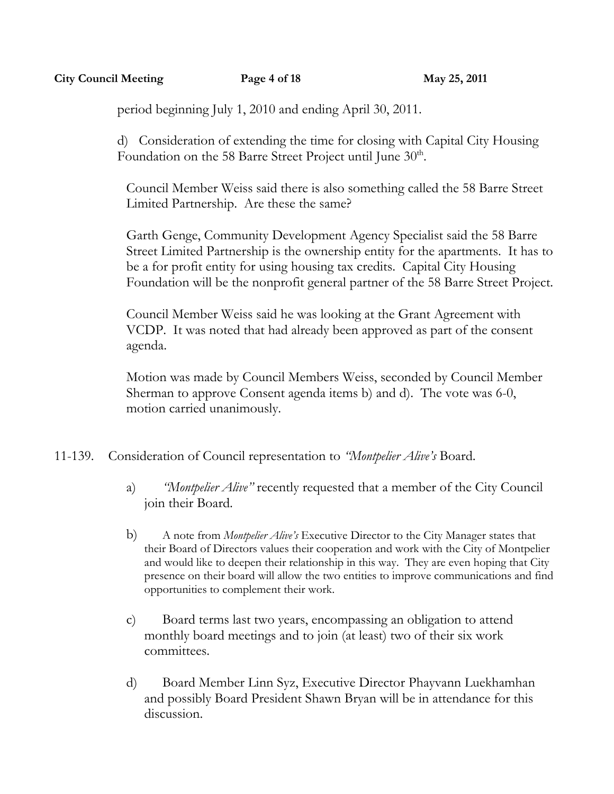period beginning July 1, 2010 and ending April 30, 2011.

d) Consideration of extending the time for closing with Capital City Housing Foundation on the 58 Barre Street Project until June 30<sup>th</sup>.

Council Member Weiss said there is also something called the 58 Barre Street Limited Partnership. Are these the same?

Garth Genge, Community Development Agency Specialist said the 58 Barre Street Limited Partnership is the ownership entity for the apartments. It has to be a for profit entity for using housing tax credits. Capital City Housing Foundation will be the nonprofit general partner of the 58 Barre Street Project.

Council Member Weiss said he was looking at the Grant Agreement with VCDP. It was noted that had already been approved as part of the consent agenda.

Motion was made by Council Members Weiss, seconded by Council Member Sherman to approve Consent agenda items b) and d). The vote was 6-0, motion carried unanimously.

- 11-139. Consideration of Council representation to *"Montpelier Alive's* Board.
	- a) *"Montpelier Alive"* recently requested that a member of the City Council join their Board.
	- b) A note from *Montpelier Alive's* Executive Director to the City Manager states that their Board of Directors values their cooperation and work with the City of Montpelier and would like to deepen their relationship in this way. They are even hoping that City presence on their board will allow the two entities to improve communications and find opportunities to complement their work.
	- c) Board terms last two years, encompassing an obligation to attend monthly board meetings and to join (at least) two of their six work committees.
	- d) Board Member Linn Syz, Executive Director Phayvann Luekhamhan and possibly Board President Shawn Bryan will be in attendance for this discussion.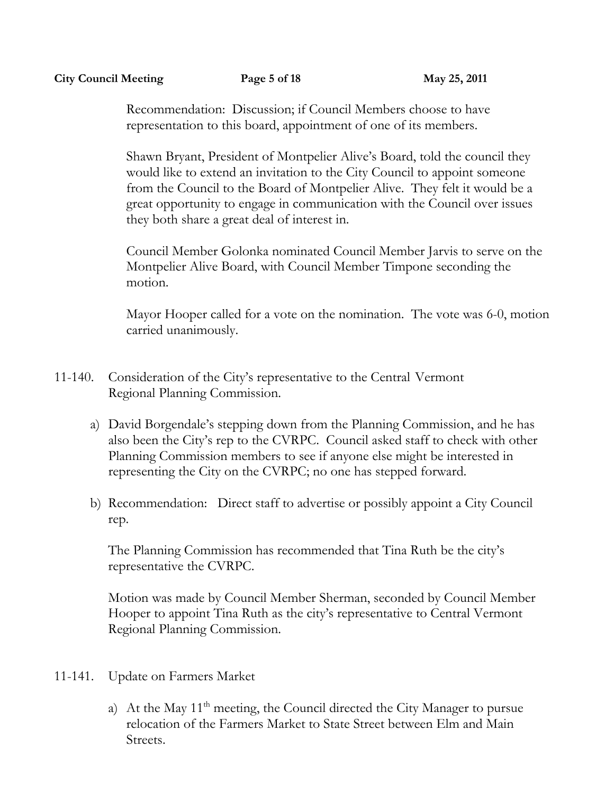Recommendation: Discussion; if Council Members choose to have representation to this board, appointment of one of its members.

Shawn Bryant, President of Montpelier Alive's Board, told the council they would like to extend an invitation to the City Council to appoint someone from the Council to the Board of Montpelier Alive. They felt it would be a great opportunity to engage in communication with the Council over issues they both share a great deal of interest in.

Council Member Golonka nominated Council Member Jarvis to serve on the Montpelier Alive Board, with Council Member Timpone seconding the motion.

Mayor Hooper called for a vote on the nomination. The vote was 6-0, motion carried unanimously.

- 11-140. Consideration of the City's representative to the Central Vermont Regional Planning Commission.
	- a) David Borgendale's stepping down from the Planning Commission, and he has also been the City's rep to the CVRPC. Council asked staff to check with other Planning Commission members to see if anyone else might be interested in representing the City on the CVRPC; no one has stepped forward.
	- b) Recommendation: Direct staff to advertise or possibly appoint a City Council rep.

The Planning Commission has recommended that Tina Ruth be the city's representative the CVRPC.

Motion was made by Council Member Sherman, seconded by Council Member Hooper to appoint Tina Ruth as the city's representative to Central Vermont Regional Planning Commission.

- 11-141. Update on Farmers Market
	- a) At the May 11<sup>th</sup> meeting, the Council directed the City Manager to pursue relocation of the Farmers Market to State Street between Elm and Main Streets.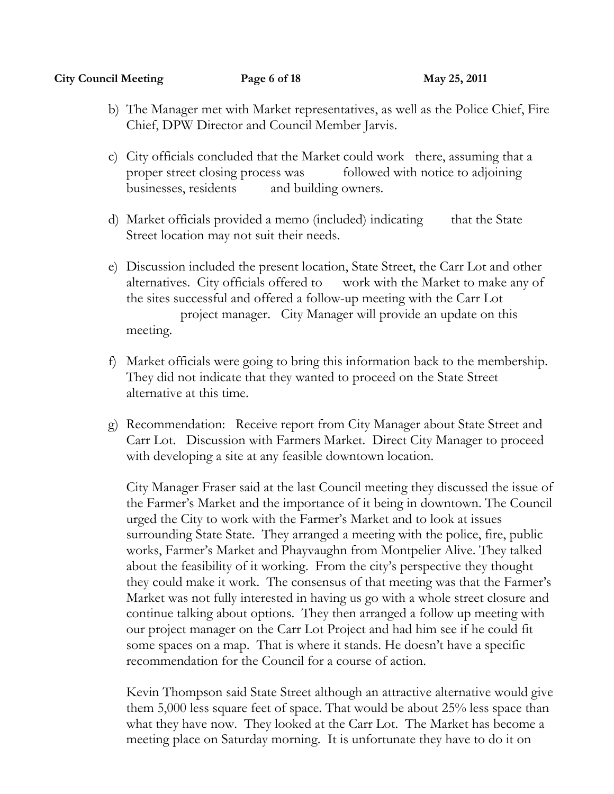**City Council Meeting Page 6 of 18 May 25, 2011**

- b) The Manager met with Market representatives, as well as the Police Chief, Fire Chief, DPW Director and Council Member Jarvis.
- c) City officials concluded that the Market could work there, assuming that a proper street closing process was followed with notice to adjoining businesses, residents and building owners.
- d) Market officials provided a memo (included) indicating that the State Street location may not suit their needs.
- e) Discussion included the present location, State Street, the Carr Lot and other alternatives. City officials offered to work with the Market to make any of the sites successful and offered a follow-up meeting with the Carr Lot project manager. City Manager will provide an update on this meeting.
- f) Market officials were going to bring this information back to the membership. They did not indicate that they wanted to proceed on the State Street alternative at this time.
- g) Recommendation: Receive report from City Manager about State Street and Carr Lot. Discussion with Farmers Market. Direct City Manager to proceed with developing a site at any feasible downtown location.

City Manager Fraser said at the last Council meeting they discussed the issue of the Farmer's Market and the importance of it being in downtown. The Council urged the City to work with the Farmer's Market and to look at issues surrounding State State. They arranged a meeting with the police, fire, public works, Farmer's Market and Phayvaughn from Montpelier Alive. They talked about the feasibility of it working. From the city's perspective they thought they could make it work. The consensus of that meeting was that the Farmer's Market was not fully interested in having us go with a whole street closure and continue talking about options. They then arranged a follow up meeting with our project manager on the Carr Lot Project and had him see if he could fit some spaces on a map. That is where it stands. He doesn't have a specific recommendation for the Council for a course of action.

Kevin Thompson said State Street although an attractive alternative would give them 5,000 less square feet of space. That would be about 25% less space than what they have now. They looked at the Carr Lot. The Market has become a meeting place on Saturday morning. It is unfortunate they have to do it on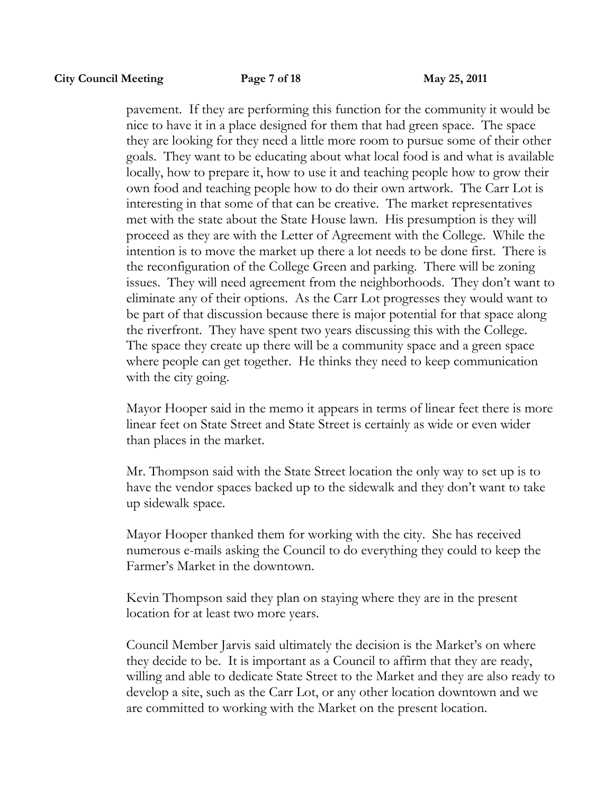pavement. If they are performing this function for the community it would be nice to have it in a place designed for them that had green space. The space they are looking for they need a little more room to pursue some of their other goals. They want to be educating about what local food is and what is available locally, how to prepare it, how to use it and teaching people how to grow their own food and teaching people how to do their own artwork. The Carr Lot is interesting in that some of that can be creative. The market representatives met with the state about the State House lawn. His presumption is they will proceed as they are with the Letter of Agreement with the College. While the intention is to move the market up there a lot needs to be done first. There is the reconfiguration of the College Green and parking. There will be zoning issues. They will need agreement from the neighborhoods. They don't want to eliminate any of their options. As the Carr Lot progresses they would want to be part of that discussion because there is major potential for that space along the riverfront. They have spent two years discussing this with the College. The space they create up there will be a community space and a green space where people can get together. He thinks they need to keep communication with the city going.

Mayor Hooper said in the memo it appears in terms of linear feet there is more linear feet on State Street and State Street is certainly as wide or even wider than places in the market.

Mr. Thompson said with the State Street location the only way to set up is to have the vendor spaces backed up to the sidewalk and they don't want to take up sidewalk space.

Mayor Hooper thanked them for working with the city. She has received numerous e-mails asking the Council to do everything they could to keep the Farmer's Market in the downtown.

Kevin Thompson said they plan on staying where they are in the present location for at least two more years.

Council Member Jarvis said ultimately the decision is the Market's on where they decide to be. It is important as a Council to affirm that they are ready, willing and able to dedicate State Street to the Market and they are also ready to develop a site, such as the Carr Lot, or any other location downtown and we are committed to working with the Market on the present location.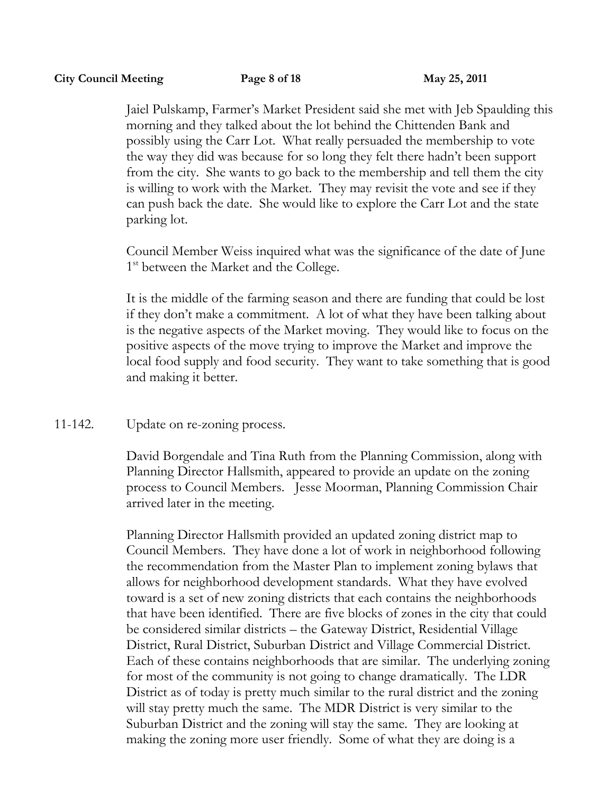Jaiel Pulskamp, Farmer's Market President said she met with Jeb Spaulding this morning and they talked about the lot behind the Chittenden Bank and possibly using the Carr Lot. What really persuaded the membership to vote the way they did was because for so long they felt there hadn't been support from the city. She wants to go back to the membership and tell them the city is willing to work with the Market. They may revisit the vote and see if they can push back the date. She would like to explore the Carr Lot and the state parking lot.

Council Member Weiss inquired what was the significance of the date of June 1<sup>st</sup> between the Market and the College.

It is the middle of the farming season and there are funding that could be lost if they don't make a commitment. A lot of what they have been talking about is the negative aspects of the Market moving. They would like to focus on the positive aspects of the move trying to improve the Market and improve the local food supply and food security. They want to take something that is good and making it better.

### 11-142. Update on re-zoning process.

David Borgendale and Tina Ruth from the Planning Commission, along with Planning Director Hallsmith, appeared to provide an update on the zoning process to Council Members. Jesse Moorman, Planning Commission Chair arrived later in the meeting.

Planning Director Hallsmith provided an updated zoning district map to Council Members. They have done a lot of work in neighborhood following the recommendation from the Master Plan to implement zoning bylaws that allows for neighborhood development standards. What they have evolved toward is a set of new zoning districts that each contains the neighborhoods that have been identified. There are five blocks of zones in the city that could be considered similar districts – the Gateway District, Residential Village District, Rural District, Suburban District and Village Commercial District. Each of these contains neighborhoods that are similar. The underlying zoning for most of the community is not going to change dramatically. The LDR District as of today is pretty much similar to the rural district and the zoning will stay pretty much the same. The MDR District is very similar to the Suburban District and the zoning will stay the same. They are looking at making the zoning more user friendly. Some of what they are doing is a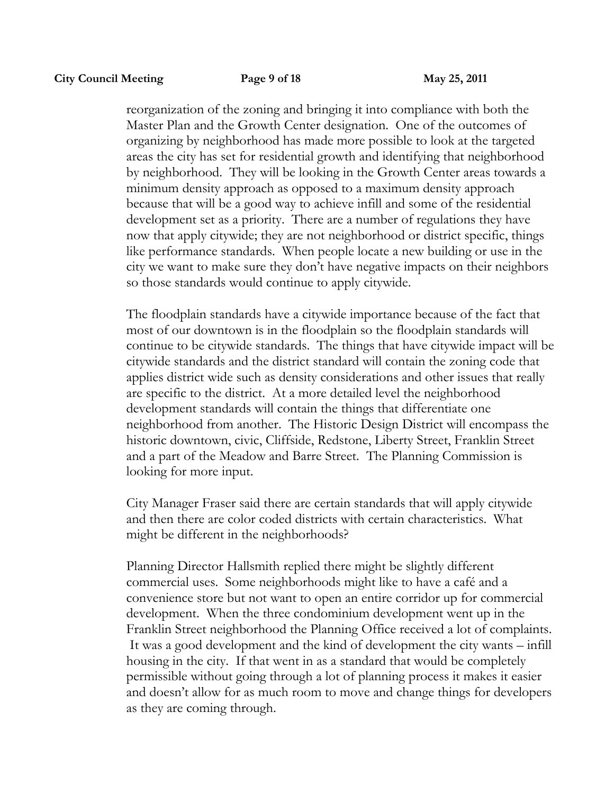reorganization of the zoning and bringing it into compliance with both the Master Plan and the Growth Center designation. One of the outcomes of organizing by neighborhood has made more possible to look at the targeted areas the city has set for residential growth and identifying that neighborhood by neighborhood. They will be looking in the Growth Center areas towards a minimum density approach as opposed to a maximum density approach because that will be a good way to achieve infill and some of the residential development set as a priority. There are a number of regulations they have now that apply citywide; they are not neighborhood or district specific, things like performance standards. When people locate a new building or use in the city we want to make sure they don't have negative impacts on their neighbors so those standards would continue to apply citywide.

The floodplain standards have a citywide importance because of the fact that most of our downtown is in the floodplain so the floodplain standards will continue to be citywide standards. The things that have citywide impact will be citywide standards and the district standard will contain the zoning code that applies district wide such as density considerations and other issues that really are specific to the district. At a more detailed level the neighborhood development standards will contain the things that differentiate one neighborhood from another. The Historic Design District will encompass the historic downtown, civic, Cliffside, Redstone, Liberty Street, Franklin Street and a part of the Meadow and Barre Street. The Planning Commission is looking for more input.

City Manager Fraser said there are certain standards that will apply citywide and then there are color coded districts with certain characteristics. What might be different in the neighborhoods?

Planning Director Hallsmith replied there might be slightly different commercial uses. Some neighborhoods might like to have a café and a convenience store but not want to open an entire corridor up for commercial development. When the three condominium development went up in the Franklin Street neighborhood the Planning Office received a lot of complaints. It was a good development and the kind of development the city wants – infill housing in the city. If that went in as a standard that would be completely permissible without going through a lot of planning process it makes it easier and doesn't allow for as much room to move and change things for developers as they are coming through.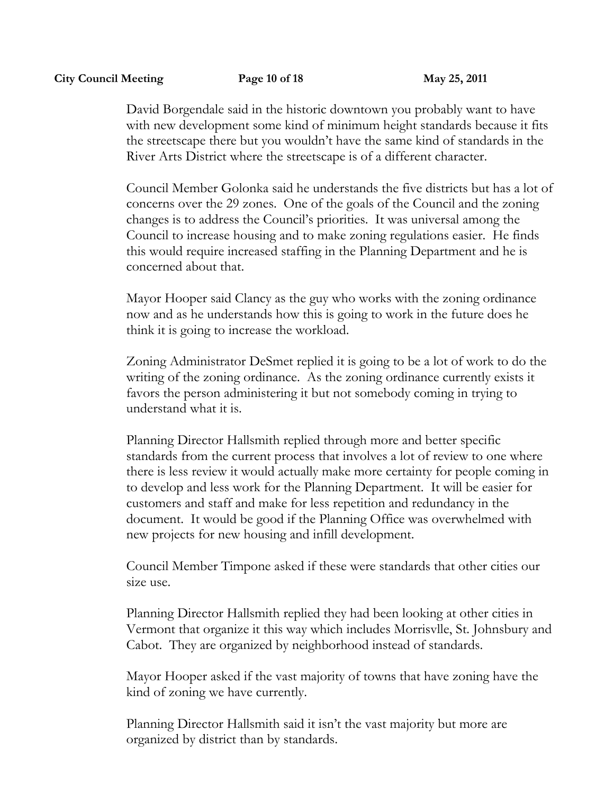David Borgendale said in the historic downtown you probably want to have with new development some kind of minimum height standards because it fits the streetscape there but you wouldn't have the same kind of standards in the River Arts District where the streetscape is of a different character.

Council Member Golonka said he understands the five districts but has a lot of concerns over the 29 zones. One of the goals of the Council and the zoning changes is to address the Council's priorities. It was universal among the Council to increase housing and to make zoning regulations easier. He finds this would require increased staffing in the Planning Department and he is concerned about that.

Mayor Hooper said Clancy as the guy who works with the zoning ordinance now and as he understands how this is going to work in the future does he think it is going to increase the workload.

Zoning Administrator DeSmet replied it is going to be a lot of work to do the writing of the zoning ordinance. As the zoning ordinance currently exists it favors the person administering it but not somebody coming in trying to understand what it is.

Planning Director Hallsmith replied through more and better specific standards from the current process that involves a lot of review to one where there is less review it would actually make more certainty for people coming in to develop and less work for the Planning Department. It will be easier for customers and staff and make for less repetition and redundancy in the document. It would be good if the Planning Office was overwhelmed with new projects for new housing and infill development.

Council Member Timpone asked if these were standards that other cities our size use.

Planning Director Hallsmith replied they had been looking at other cities in Vermont that organize it this way which includes Morrisvlle, St. Johnsbury and Cabot. They are organized by neighborhood instead of standards.

Mayor Hooper asked if the vast majority of towns that have zoning have the kind of zoning we have currently.

Planning Director Hallsmith said it isn't the vast majority but more are organized by district than by standards.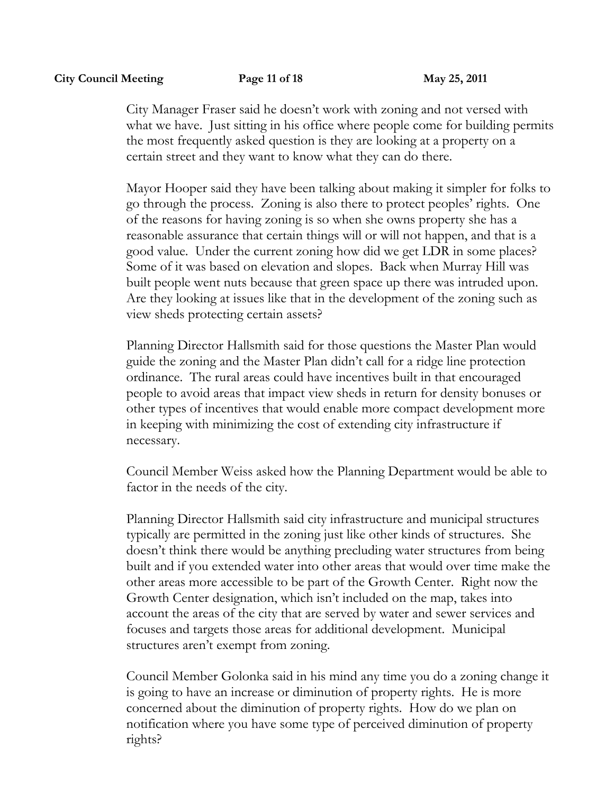City Manager Fraser said he doesn't work with zoning and not versed with what we have. Just sitting in his office where people come for building permits the most frequently asked question is they are looking at a property on a certain street and they want to know what they can do there.

Mayor Hooper said they have been talking about making it simpler for folks to go through the process. Zoning is also there to protect peoples' rights. One of the reasons for having zoning is so when she owns property she has a reasonable assurance that certain things will or will not happen, and that is a good value. Under the current zoning how did we get LDR in some places? Some of it was based on elevation and slopes. Back when Murray Hill was built people went nuts because that green space up there was intruded upon. Are they looking at issues like that in the development of the zoning such as view sheds protecting certain assets?

Planning Director Hallsmith said for those questions the Master Plan would guide the zoning and the Master Plan didn't call for a ridge line protection ordinance. The rural areas could have incentives built in that encouraged people to avoid areas that impact view sheds in return for density bonuses or other types of incentives that would enable more compact development more in keeping with minimizing the cost of extending city infrastructure if necessary.

Council Member Weiss asked how the Planning Department would be able to factor in the needs of the city.

Planning Director Hallsmith said city infrastructure and municipal structures typically are permitted in the zoning just like other kinds of structures. She doesn't think there would be anything precluding water structures from being built and if you extended water into other areas that would over time make the other areas more accessible to be part of the Growth Center. Right now the Growth Center designation, which isn't included on the map, takes into account the areas of the city that are served by water and sewer services and focuses and targets those areas for additional development. Municipal structures aren't exempt from zoning.

Council Member Golonka said in his mind any time you do a zoning change it is going to have an increase or diminution of property rights. He is more concerned about the diminution of property rights. How do we plan on notification where you have some type of perceived diminution of property rights?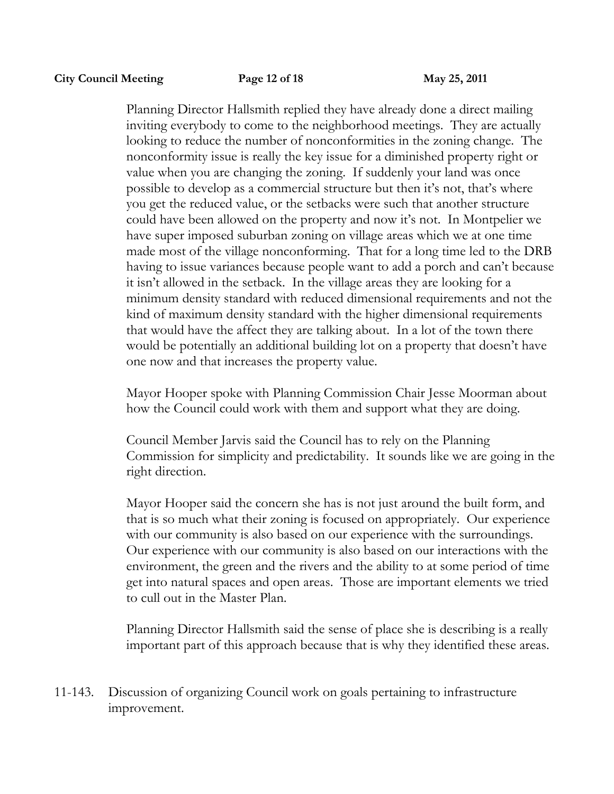Planning Director Hallsmith replied they have already done a direct mailing inviting everybody to come to the neighborhood meetings. They are actually looking to reduce the number of nonconformities in the zoning change. The nonconformity issue is really the key issue for a diminished property right or value when you are changing the zoning. If suddenly your land was once possible to develop as a commercial structure but then it's not, that's where you get the reduced value, or the setbacks were such that another structure could have been allowed on the property and now it's not. In Montpelier we have super imposed suburban zoning on village areas which we at one time made most of the village nonconforming. That for a long time led to the DRB having to issue variances because people want to add a porch and can't because it isn't allowed in the setback. In the village areas they are looking for a minimum density standard with reduced dimensional requirements and not the kind of maximum density standard with the higher dimensional requirements that would have the affect they are talking about. In a lot of the town there would be potentially an additional building lot on a property that doesn't have one now and that increases the property value.

Mayor Hooper spoke with Planning Commission Chair Jesse Moorman about how the Council could work with them and support what they are doing.

Council Member Jarvis said the Council has to rely on the Planning Commission for simplicity and predictability. It sounds like we are going in the right direction.

Mayor Hooper said the concern she has is not just around the built form, and that is so much what their zoning is focused on appropriately. Our experience with our community is also based on our experience with the surroundings. Our experience with our community is also based on our interactions with the environment, the green and the rivers and the ability to at some period of time get into natural spaces and open areas. Those are important elements we tried to cull out in the Master Plan.

Planning Director Hallsmith said the sense of place she is describing is a really important part of this approach because that is why they identified these areas.

11-143. Discussion of organizing Council work on goals pertaining to infrastructure improvement.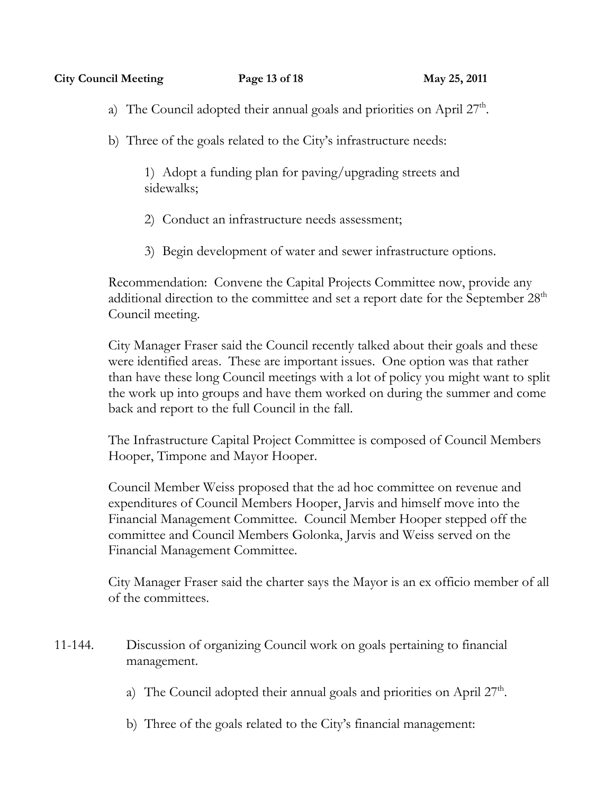- a) The Council adopted their annual goals and priorities on April  $27<sup>th</sup>$ .
- b) Three of the goals related to the City's infrastructure needs:

1) Adopt a funding plan for paving/upgrading streets and sidewalks;

- 2) Conduct an infrastructure needs assessment;
- 3) Begin development of water and sewer infrastructure options.

Recommendation: Convene the Capital Projects Committee now, provide any additional direction to the committee and set a report date for the September  $28<sup>th</sup>$ Council meeting.

City Manager Fraser said the Council recently talked about their goals and these were identified areas. These are important issues. One option was that rather than have these long Council meetings with a lot of policy you might want to split the work up into groups and have them worked on during the summer and come back and report to the full Council in the fall.

The Infrastructure Capital Project Committee is composed of Council Members Hooper, Timpone and Mayor Hooper.

Council Member Weiss proposed that the ad hoc committee on revenue and expenditures of Council Members Hooper, Jarvis and himself move into the Financial Management Committee. Council Member Hooper stepped off the committee and Council Members Golonka, Jarvis and Weiss served on the Financial Management Committee.

City Manager Fraser said the charter says the Mayor is an ex officio member of all of the committees.

- 11-144. Discussion of organizing Council work on goals pertaining to financial management.
	- a) The Council adopted their annual goals and priorities on April  $27<sup>th</sup>$ .
	- b) Three of the goals related to the City's financial management: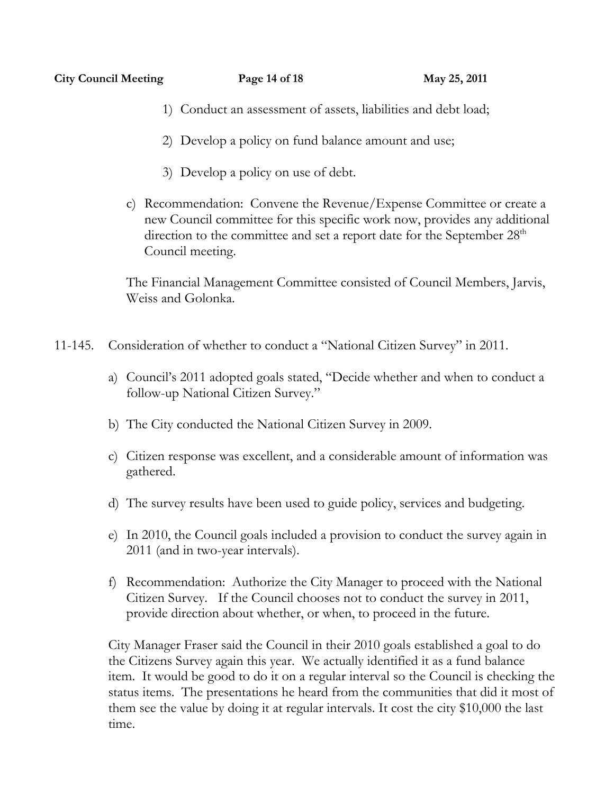**City Council Meeting Page 14 of 18 May 25, 2011**

- 1) Conduct an assessment of assets, liabilities and debt load;
- 2) Develop a policy on fund balance amount and use;
- 3) Develop a policy on use of debt.
- c) Recommendation: Convene the Revenue/Expense Committee or create a new Council committee for this specific work now, provides any additional direction to the committee and set a report date for the September  $28<sup>th</sup>$ Council meeting.

The Financial Management Committee consisted of Council Members, Jarvis, Weiss and Golonka.

- 11-145. Consideration of whether to conduct a "National Citizen Survey" in 2011.
	- a) Council's 2011 adopted goals stated, "Decide whether and when to conduct a follow-up National Citizen Survey."
	- b) The City conducted the National Citizen Survey in 2009.
	- c) Citizen response was excellent, and a considerable amount of information was gathered.
	- d) The survey results have been used to guide policy, services and budgeting.
	- e) In 2010, the Council goals included a provision to conduct the survey again in 2011 (and in two-year intervals).
	- f) Recommendation: Authorize the City Manager to proceed with the National Citizen Survey. If the Council chooses not to conduct the survey in 2011, provide direction about whether, or when, to proceed in the future.

City Manager Fraser said the Council in their 2010 goals established a goal to do the Citizens Survey again this year. We actually identified it as a fund balance item. It would be good to do it on a regular interval so the Council is checking the status items. The presentations he heard from the communities that did it most of them see the value by doing it at regular intervals. It cost the city \$10,000 the last time.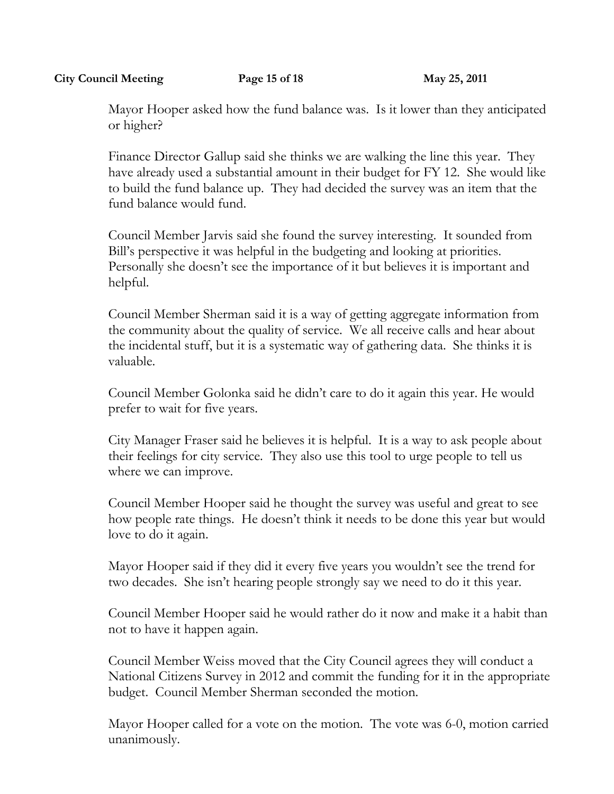Mayor Hooper asked how the fund balance was. Is it lower than they anticipated or higher?

Finance Director Gallup said she thinks we are walking the line this year. They have already used a substantial amount in their budget for FY 12. She would like to build the fund balance up. They had decided the survey was an item that the fund balance would fund.

Council Member Jarvis said she found the survey interesting. It sounded from Bill's perspective it was helpful in the budgeting and looking at priorities. Personally she doesn't see the importance of it but believes it is important and helpful.

Council Member Sherman said it is a way of getting aggregate information from the community about the quality of service. We all receive calls and hear about the incidental stuff, but it is a systematic way of gathering data. She thinks it is valuable.

Council Member Golonka said he didn't care to do it again this year. He would prefer to wait for five years.

City Manager Fraser said he believes it is helpful. It is a way to ask people about their feelings for city service. They also use this tool to urge people to tell us where we can improve.

Council Member Hooper said he thought the survey was useful and great to see how people rate things. He doesn't think it needs to be done this year but would love to do it again.

Mayor Hooper said if they did it every five years you wouldn't see the trend for two decades. She isn't hearing people strongly say we need to do it this year.

Council Member Hooper said he would rather do it now and make it a habit than not to have it happen again.

Council Member Weiss moved that the City Council agrees they will conduct a National Citizens Survey in 2012 and commit the funding for it in the appropriate budget. Council Member Sherman seconded the motion.

Mayor Hooper called for a vote on the motion. The vote was 6-0, motion carried unanimously.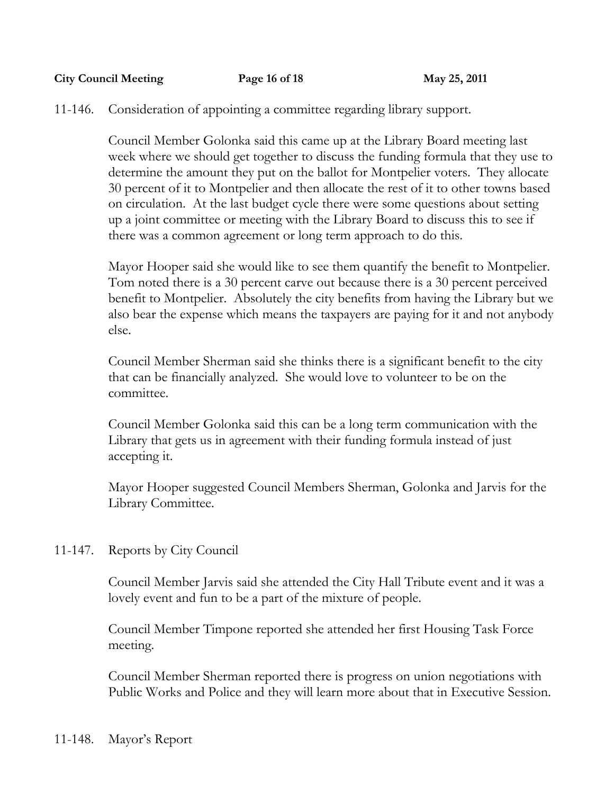### **City Council Meeting Page 16 of 18 May 25, 2011**

11-146. Consideration of appointing a committee regarding library support.

Council Member Golonka said this came up at the Library Board meeting last week where we should get together to discuss the funding formula that they use to determine the amount they put on the ballot for Montpelier voters. They allocate 30 percent of it to Montpelier and then allocate the rest of it to other towns based on circulation. At the last budget cycle there were some questions about setting up a joint committee or meeting with the Library Board to discuss this to see if there was a common agreement or long term approach to do this.

Mayor Hooper said she would like to see them quantify the benefit to Montpelier. Tom noted there is a 30 percent carve out because there is a 30 percent perceived benefit to Montpelier. Absolutely the city benefits from having the Library but we also bear the expense which means the taxpayers are paying for it and not anybody else.

Council Member Sherman said she thinks there is a significant benefit to the city that can be financially analyzed. She would love to volunteer to be on the committee.

Council Member Golonka said this can be a long term communication with the Library that gets us in agreement with their funding formula instead of just accepting it.

Mayor Hooper suggested Council Members Sherman, Golonka and Jarvis for the Library Committee.

# 11-147. Reports by City Council

Council Member Jarvis said she attended the City Hall Tribute event and it was a lovely event and fun to be a part of the mixture of people.

Council Member Timpone reported she attended her first Housing Task Force meeting.

Council Member Sherman reported there is progress on union negotiations with Public Works and Police and they will learn more about that in Executive Session.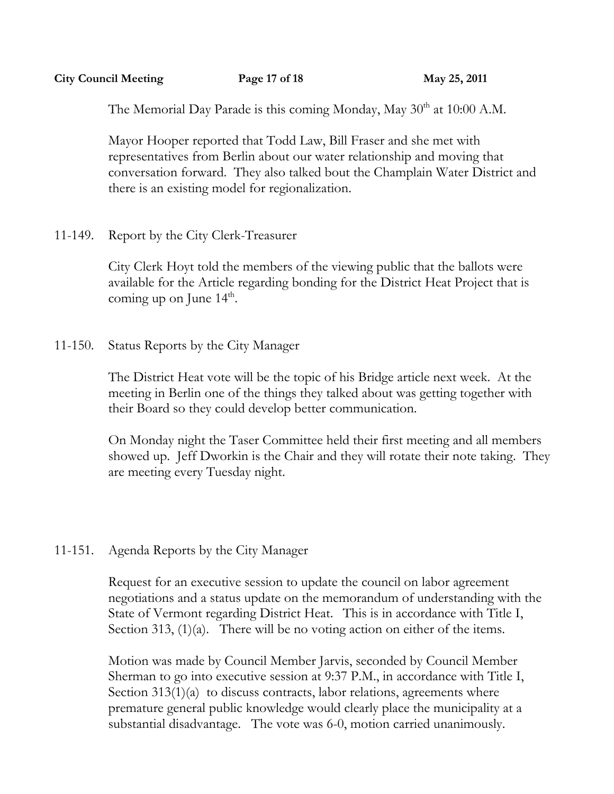The Memorial Day Parade is this coming Monday, May  $30<sup>th</sup>$  at 10:00 A.M.

Mayor Hooper reported that Todd Law, Bill Fraser and she met with representatives from Berlin about our water relationship and moving that conversation forward. They also talked bout the Champlain Water District and there is an existing model for regionalization.

11-149. Report by the City Clerk-Treasurer

City Clerk Hoyt told the members of the viewing public that the ballots were available for the Article regarding bonding for the District Heat Project that is coming up on June  $14<sup>th</sup>$ .

# 11-150. Status Reports by the City Manager

The District Heat vote will be the topic of his Bridge article next week. At the meeting in Berlin one of the things they talked about was getting together with their Board so they could develop better communication.

On Monday night the Taser Committee held their first meeting and all members showed up. Jeff Dworkin is the Chair and they will rotate their note taking. They are meeting every Tuesday night.

# 11-151. Agenda Reports by the City Manager

Request for an executive session to update the council on labor agreement negotiations and a status update on the memorandum of understanding with the State of Vermont regarding District Heat. This is in accordance with Title I, Section 313, (1)(a). There will be no voting action on either of the items.

Motion was made by Council Member Jarvis, seconded by Council Member Sherman to go into executive session at 9:37 P.M., in accordance with Title I, Section 313(1)(a) to discuss contracts, labor relations, agreements where premature general public knowledge would clearly place the municipality at a substantial disadvantage. The vote was 6-0, motion carried unanimously.